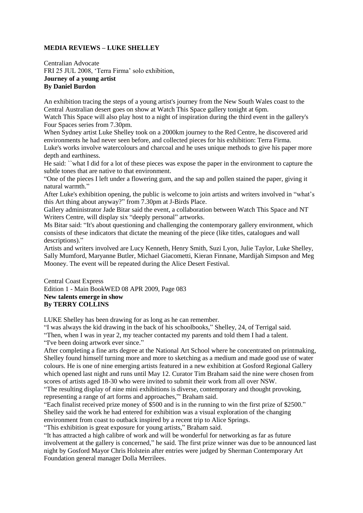## **MEDIA REVIEWS – LUKE SHELLEY**

Centralian Advocate FRI 25 JUL 2008, 'Terra Firma' solo exhibition, **Journey of a young artist By Daniel Burdon**

An exhibition tracing the steps of a young artist's journey from the New South Wales coast to the Central Australian desert goes on show at Watch This Space gallery tonight at 6pm.

Watch This Space will also play host to a night of inspiration during the third event in the gallery's Four Spaces series from 7.30pm.

When Sydney artist Luke Shelley took on a 2000km journey to the Red Centre, he discovered arid environments he had never seen before, and collected pieces for his exhibition: Terra Firma.

Luke's works involve watercolours and charcoal and he uses unique methods to give his paper more depth and earthiness.

He said: ``what I did for a lot of these pieces was expose the paper in the environment to capture the subtle tones that are native to that environment.

"One of the pieces I left under a flowering gum, and the sap and pollen stained the paper, giving it natural warmth."

After Luke's exhibition opening, the public is welcome to join artists and writers involved in "what's this Art thing about anyway?" from 7.30pm at J-Birds Place.

Gallery administrator Jade Bitar said the event, a collaboration between Watch This Space and NT Writers Centre, will display six "deeply personal" artworks.

Ms Bitar said: "It's about questioning and challenging the contemporary gallery environment, which consists of these indicators that dictate the meaning of the piece (like titles, catalogues and wall descriptions)."

Artists and writers involved are Lucy Kenneth, Henry Smith, Suzi Lyon, Julie Taylor, Luke Shelley, Sally Mumford, Maryanne Butler, Michael Giacometti, Kieran Finnane, Mardijah Simpson and Meg Mooney. The event will be repeated during the Alice Desert Festival.

Central Coast Express Edition 1 - Main BookWED 08 APR 2009, Page 083 **New talents emerge in show By TERRY COLLINS** 

LUKE Shelley has been drawing for as long as he can remember.

"I was always the kid drawing in the back of his schoolbooks," Shelley, 24, of Terrigal said.

"Then, when I was in year 2, my teacher contacted my parents and told them I had a talent.

"I've been doing artwork ever since."

After completing a fine arts degree at the National Art School where he concentrated on printmaking, Shelley found himself turning more and more to sketching as a medium and made good use of water colours. He is one of nine emerging artists featured in a new exhibition at Gosford Regional Gallery which opened last night and runs until May 12. Curator Tim Braham said the nine were chosen from scores of artists aged 18-30 who were invited to submit their work from all over NSW.

"The resulting display of nine mini exhibitions is diverse, contemporary and thought provoking, representing a range of art forms and approaches,"' Braham said.

"Each finalist received prize money of \$500 and is in the running to win the first prize of \$2500." Shelley said the work he had entered for exhibition was a visual exploration of the changing environment from coast to outback inspired by a recent trip to Alice Springs.

"This exhibition is great exposure for young artists," Braham said.

"It has attracted a high calibre of work and will be wonderful for networking as far as future involvement at the gallery is concerned," he said. The first prize winner was due to be announced last night by Gosford Mayor Chris Holstein after entries were judged by Sherman Contemporary Art Foundation general manager Dolla Merrilees.